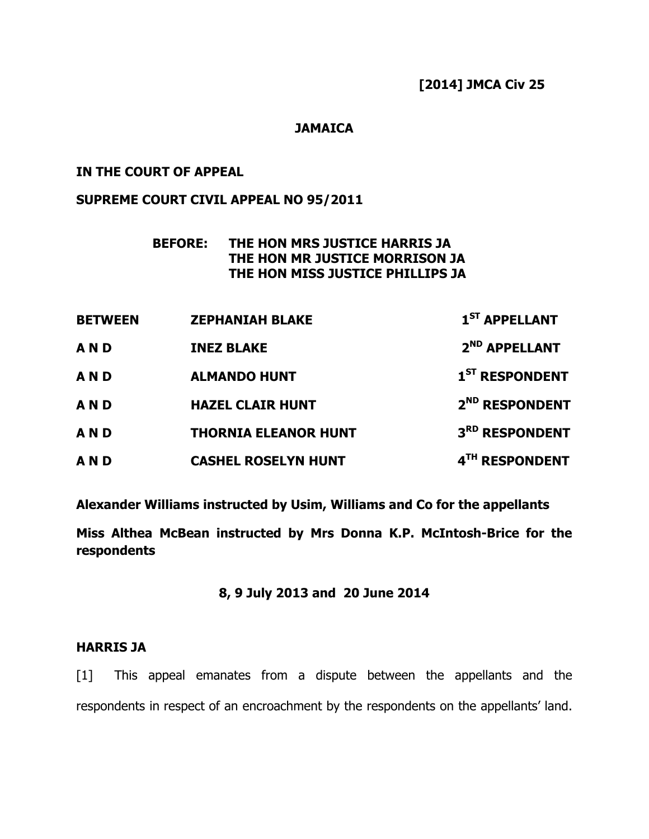### **JAMAICA**

## IN THE COURT OF APPEAL

### SUPREME COURT CIVIL APPEAL NO 95/2011

# BEFORE: THE HON MRS JUSTICE HARRIS JA THE HON MR JUSTICE MORRISON JA THE HON MISS JUSTICE PHILLIPS JA

| <b>BETWEEN</b> | <b>ZEPHANIAH BLAKE</b>      | $1ST$ APPELLANT            |
|----------------|-----------------------------|----------------------------|
| <b>AND</b>     | <b>INEZ BLAKE</b>           | 2 <sup>ND</sup> APPELLANT  |
| <b>AND</b>     | <b>ALMANDO HUNT</b>         | 1 <sup>ST</sup> RESPONDENT |
| <b>AND</b>     | <b>HAZEL CLAIR HUNT</b>     | 2 <sup>ND</sup> RESPONDENT |
| <b>AND</b>     | <b>THORNIA ELEANOR HUNT</b> | 3RD RESPONDENT             |
| <b>AND</b>     | <b>CASHEL ROSELYN HUNT</b>  | 4TH RESPONDENT             |

Alexander Williams instructed by Usim, Williams and Co for the appellants

Miss Althea McBean instructed by Mrs Donna K.P. McIntosh-Brice for the respondents

## 8, 9 July 2013 and 20 June 2014

#### HARRIS JA

[1] This appeal emanates from a dispute between the appellants and the respondents in respect of an encroachment by the respondents on the appellants' land.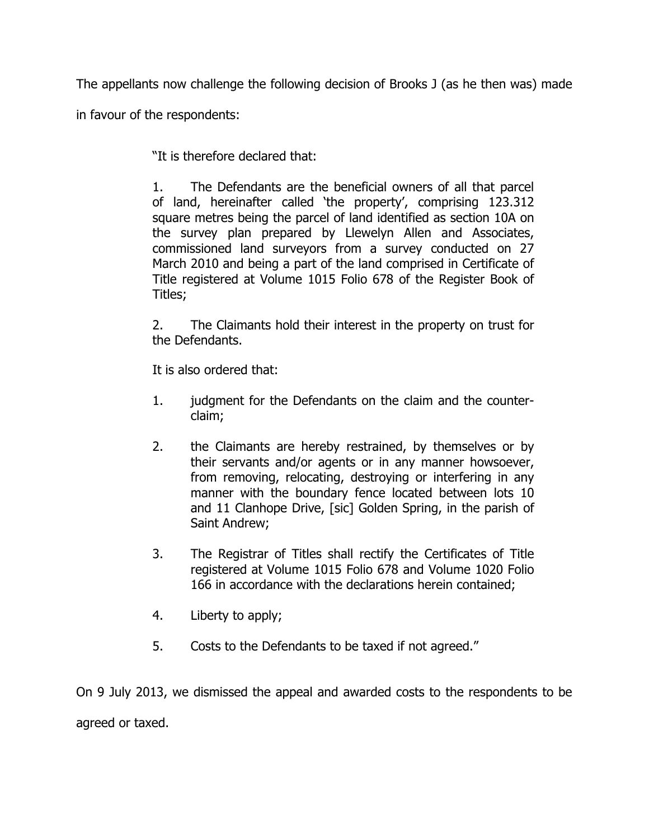The appellants now challenge the following decision of Brooks J (as he then was) made in favour of the respondents:

"It is therefore declared that:

1. The Defendants are the beneficial owners of all that parcel of land, hereinafter called 'the property', comprising 123.312 square metres being the parcel of land identified as section 10A on the survey plan prepared by Llewelyn Allen and Associates, commissioned land surveyors from a survey conducted on 27 March 2010 and being a part of the land comprised in Certificate of Title registered at Volume 1015 Folio 678 of the Register Book of Titles;

2. The Claimants hold their interest in the property on trust for the Defendants.

It is also ordered that:

- 1. judgment for the Defendants on the claim and the counterclaim;
- 2. the Claimants are hereby restrained, by themselves or by their servants and/or agents or in any manner howsoever, from removing, relocating, destroying or interfering in any manner with the boundary fence located between lots 10 and 11 Clanhope Drive, [sic] Golden Spring, in the parish of Saint Andrew;
- 3. The Registrar of Titles shall rectify the Certificates of Title registered at Volume 1015 Folio 678 and Volume 1020 Folio 166 in accordance with the declarations herein contained;
- 4. Liberty to apply;
- 5. Costs to the Defendants to be taxed if not agreed."

On 9 July 2013, we dismissed the appeal and awarded costs to the respondents to be agreed or taxed.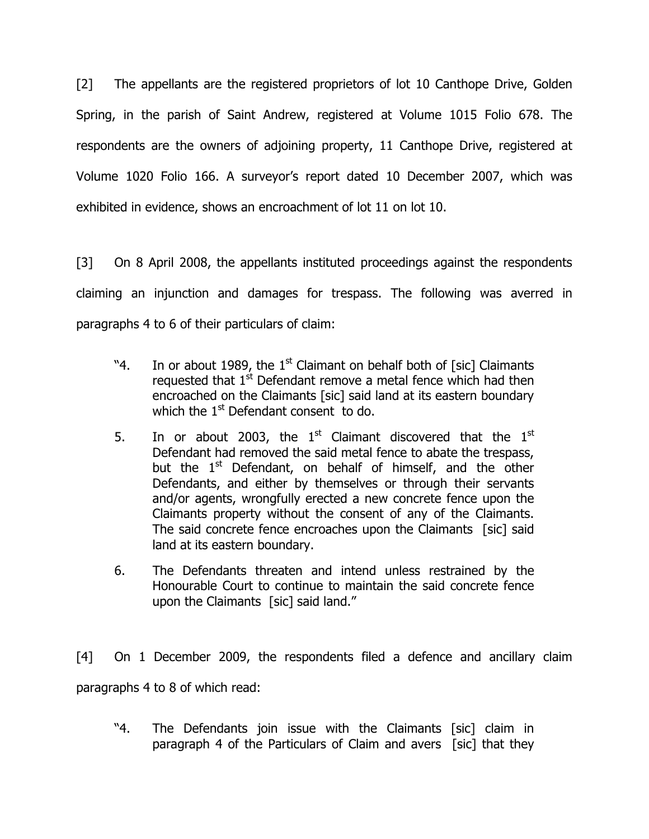[2] The appellants are the registered proprietors of lot 10 Canthope Drive, Golden Spring, in the parish of Saint Andrew, registered at Volume 1015 Folio 678. The respondents are the owners of adjoining property, 11 Canthope Drive, registered at Volume 1020 Folio 166. A surveyor's report dated 10 December 2007, which was exhibited in evidence, shows an encroachment of lot 11 on lot 10.

[3] On 8 April 2008, the appellants instituted proceedings against the respondents claiming an injunction and damages for trespass. The following was averred in paragraphs 4 to 6 of their particulars of claim:

- "4. In or about 1989, the  $1<sup>st</sup>$  Claimant on behalf both of [sic] Claimants requested that  $1<sup>st</sup>$  Defendant remove a metal fence which had then encroached on the Claimants [sic] said land at its eastern boundary which the  $1<sup>st</sup>$  Defendant consent to do.
- 5. In or about 2003, the  $1<sup>st</sup>$  Claimant discovered that the  $1<sup>st</sup>$ Defendant had removed the said metal fence to abate the trespass, but the  $1<sup>st</sup>$  Defendant, on behalf of himself, and the other Defendants, and either by themselves or through their servants and/or agents, wrongfully erected a new concrete fence upon the Claimants property without the consent of any of the Claimants. The said concrete fence encroaches upon the Claimants [sic] said land at its eastern boundary.
- 6. The Defendants threaten and intend unless restrained by the Honourable Court to continue to maintain the said concrete fence upon the Claimants [sic] said land."

[4] On 1 December 2009, the respondents filed a defence and ancillary claim paragraphs 4 to 8 of which read:

"4. The Defendants join issue with the Claimants [sic] claim in paragraph 4 of the Particulars of Claim and avers [sic] that they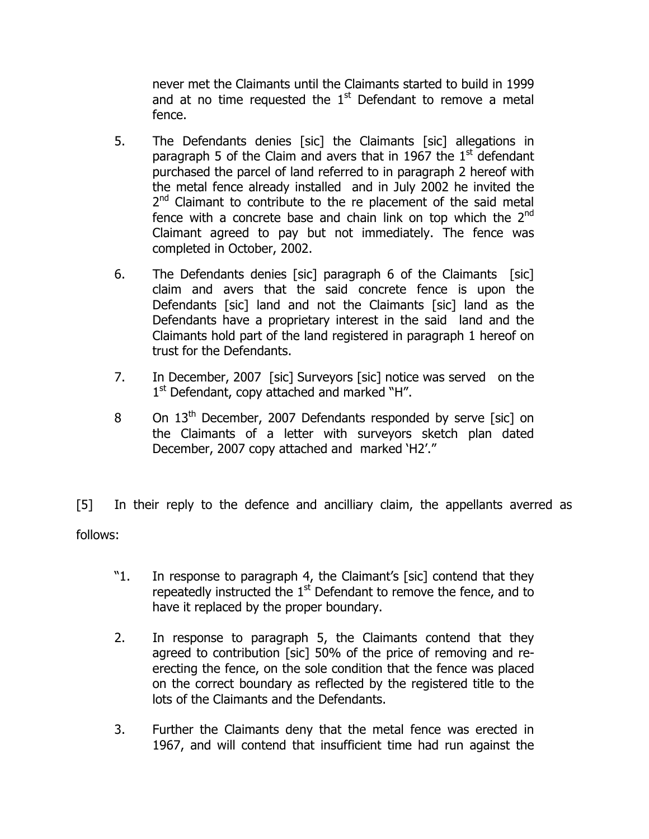never met the Claimants until the Claimants started to build in 1999 and at no time requested the  $1<sup>st</sup>$  Defendant to remove a metal fence.

- 5. The Defendants denies [sic] the Claimants [sic] allegations in paragraph 5 of the Claim and avers that in 1967 the  $1<sup>st</sup>$  defendant purchased the parcel of land referred to in paragraph 2 hereof with the metal fence already installed and in July 2002 he invited the 2<sup>nd</sup> Claimant to contribute to the re placement of the said metal fence with a concrete base and chain link on top which the 2<sup>nd</sup> Claimant agreed to pay but not immediately. The fence was completed in October, 2002.
- 6. The Defendants denies [sic] paragraph 6 of the Claimants [sic] claim and avers that the said concrete fence is upon the Defendants [sic] land and not the Claimants [sic] land as the Defendants have a proprietary interest in the said land and the Claimants hold part of the land registered in paragraph 1 hereof on trust for the Defendants.
- 7. In December, 2007 [sic] Surveyors [sic] notice was served on the 1<sup>st</sup> Defendant, copy attached and marked "H".
- 8 On 13<sup>th</sup> December, 2007 Defendants responded by serve [sic] on the Claimants of a letter with surveyors sketch plan dated December, 2007 copy attached and marked 'H2'."

[5] In their reply to the defence and ancilliary claim, the appellants averred as follows:

- "1. In response to paragraph 4, the Claimant's [sic] contend that they repeatedly instructed the  $1<sup>st</sup>$  Defendant to remove the fence, and to have it replaced by the proper boundary.
- 2. In response to paragraph 5, the Claimants contend that they agreed to contribution [sic] 50% of the price of removing and reerecting the fence, on the sole condition that the fence was placed on the correct boundary as reflected by the registered title to the lots of the Claimants and the Defendants.
- 3. Further the Claimants deny that the metal fence was erected in 1967, and will contend that insufficient time had run against the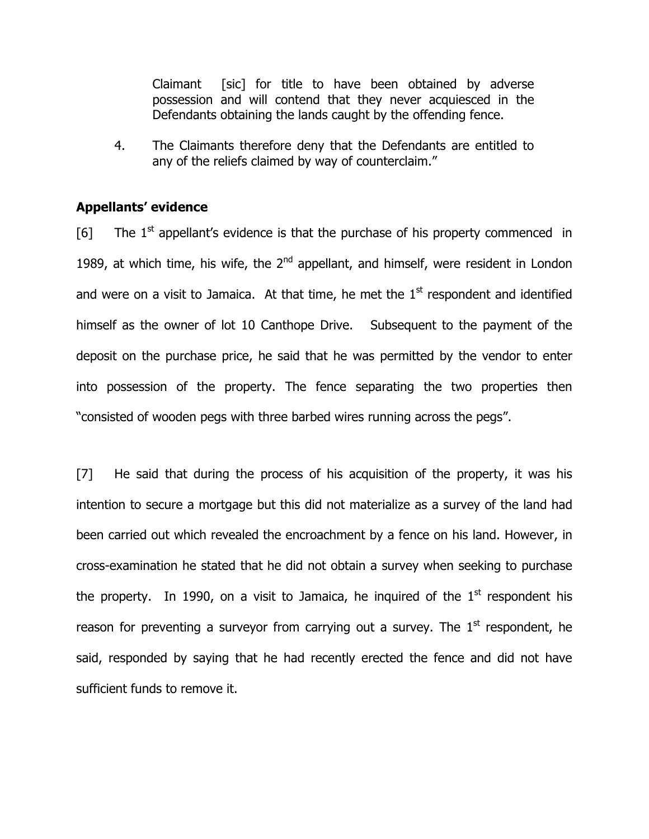Claimant [sic] for title to have been obtained by adverse possession and will contend that they never acquiesced in the Defendants obtaining the lands caught by the offending fence.

4. The Claimants therefore deny that the Defendants are entitled to any of the reliefs claimed by way of counterclaim."

### Appellants' evidence

[6] The  $1<sup>st</sup>$  appellant's evidence is that the purchase of his property commenced in 1989, at which time, his wife, the  $2<sup>nd</sup>$  appellant, and himself, were resident in London and were on a visit to Jamaica. At that time, he met the  $1<sup>st</sup>$  respondent and identified himself as the owner of lot 10 Canthope Drive. Subsequent to the payment of the deposit on the purchase price, he said that he was permitted by the vendor to enter into possession of the property. The fence separating the two properties then "consisted of wooden pegs with three barbed wires running across the pegs".

[7] He said that during the process of his acquisition of the property, it was his intention to secure a mortgage but this did not materialize as a survey of the land had been carried out which revealed the encroachment by a fence on his land. However, in cross-examination he stated that he did not obtain a survey when seeking to purchase the property. In 1990, on a visit to Jamaica, he inquired of the  $1<sup>st</sup>$  respondent his reason for preventing a surveyor from carrying out a survey. The  $1<sup>st</sup>$  respondent, he said, responded by saying that he had recently erected the fence and did not have sufficient funds to remove it.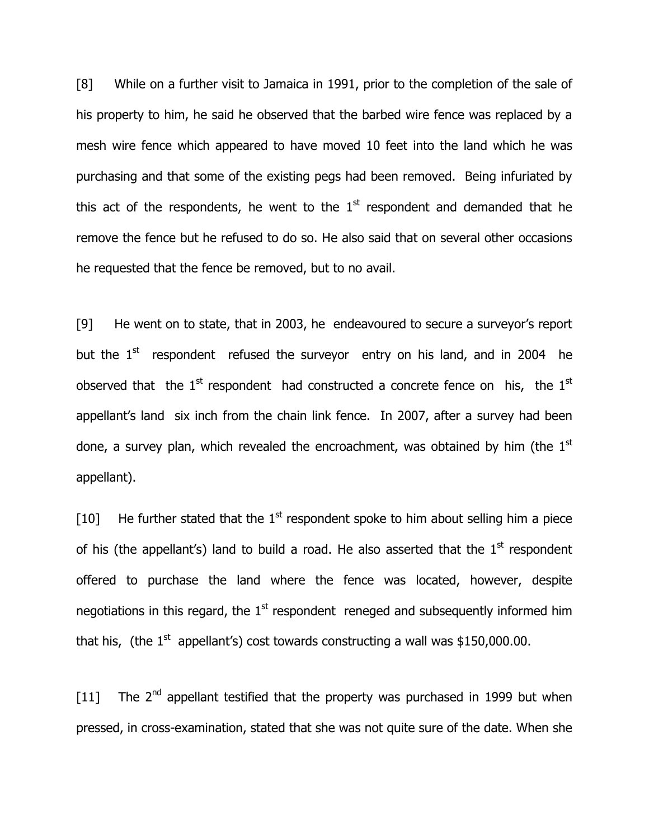[8] While on a further visit to Jamaica in 1991, prior to the completion of the sale of his property to him, he said he observed that the barbed wire fence was replaced by a mesh wire fence which appeared to have moved 10 feet into the land which he was purchasing and that some of the existing pegs had been removed. Being infuriated by this act of the respondents, he went to the  $1<sup>st</sup>$  respondent and demanded that he remove the fence but he refused to do so. He also said that on several other occasions he requested that the fence be removed, but to no avail.

[9] He went on to state, that in 2003, he endeavoured to secure a surveyor's report but the  $1<sup>st</sup>$  respondent refused the surveyor entry on his land, and in 2004 he observed that the  $1<sup>st</sup>$  respondent had constructed a concrete fence on his, the  $1<sup>st</sup>$ appellant's land six inch from the chain link fence. In 2007, after a survey had been done, a survey plan, which revealed the encroachment, was obtained by him (the  $1<sup>st</sup>$ appellant).

[10] He further stated that the  $1<sup>st</sup>$  respondent spoke to him about selling him a piece of his (the appellant's) land to build a road. He also asserted that the  $1<sup>st</sup>$  respondent offered to purchase the land where the fence was located, however, despite negotiations in this regard, the  $1<sup>st</sup>$  respondent reneged and subsequently informed him that his, (the  $1<sup>st</sup>$  appellant's) cost towards constructing a wall was \$150,000.00.

[11] The  $2<sup>nd</sup>$  appellant testified that the property was purchased in 1999 but when pressed, in cross-examination, stated that she was not quite sure of the date. When she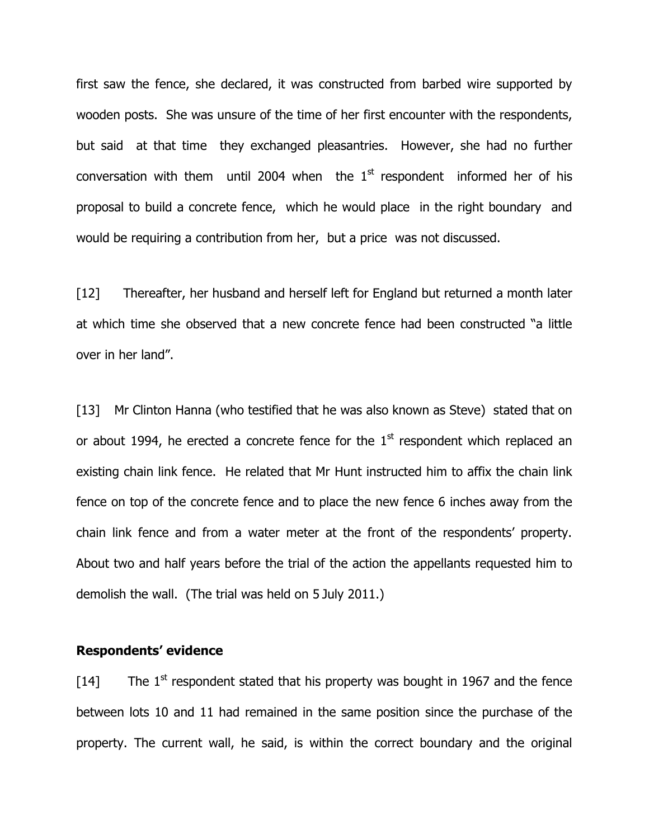first saw the fence, she declared, it was constructed from barbed wire supported by wooden posts. She was unsure of the time of her first encounter with the respondents, but said at that time they exchanged pleasantries. However, she had no further conversation with them until 2004 when the  $1<sup>st</sup>$  respondent informed her of his proposal to build a concrete fence, which he would place in the right boundary and would be requiring a contribution from her, but a price was not discussed.

[12] Thereafter, her husband and herself left for England but returned a month later at which time she observed that a new concrete fence had been constructed "a little over in her land".

[13] Mr Clinton Hanna (who testified that he was also known as Steve) stated that on or about 1994, he erected a concrete fence for the  $1<sup>st</sup>$  respondent which replaced an existing chain link fence. He related that Mr Hunt instructed him to affix the chain link fence on top of the concrete fence and to place the new fence 6 inches away from the chain link fence and from a water meter at the front of the respondents' property. About two and half years before the trial of the action the appellants requested him to demolish the wall. (The trial was held on 5 July 2011.)

#### Respondents' evidence

 $[14]$  The 1<sup>st</sup> respondent stated that his property was bought in 1967 and the fence between lots 10 and 11 had remained in the same position since the purchase of the property. The current wall, he said, is within the correct boundary and the original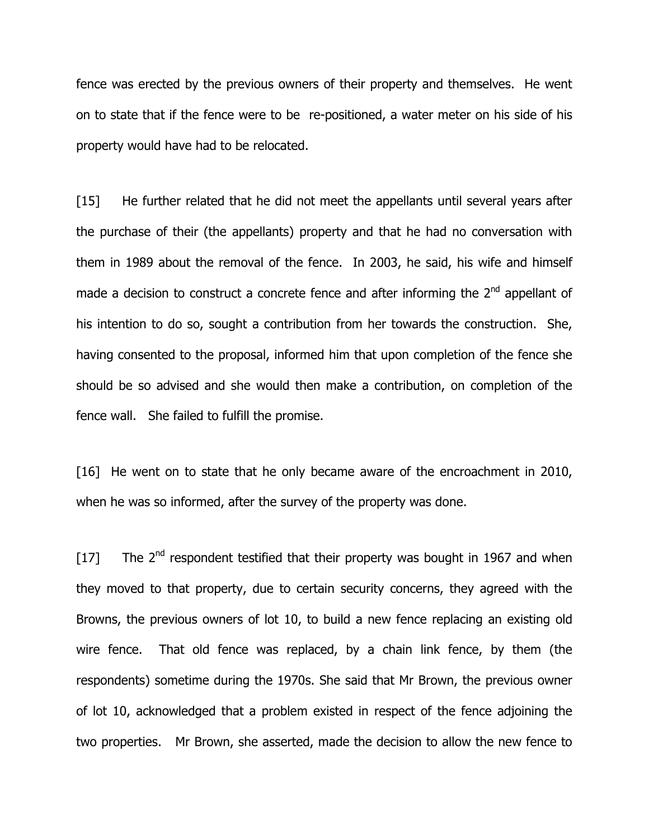fence was erected by the previous owners of their property and themselves. He went on to state that if the fence were to be re-positioned, a water meter on his side of his property would have had to be relocated.

[15] He further related that he did not meet the appellants until several years after the purchase of their (the appellants) property and that he had no conversation with them in 1989 about the removal of the fence. In 2003, he said, his wife and himself made a decision to construct a concrete fence and after informing the  $2^{nd}$  appellant of his intention to do so, sought a contribution from her towards the construction. She, having consented to the proposal, informed him that upon completion of the fence she should be so advised and she would then make a contribution, on completion of the fence wall. She failed to fulfill the promise.

[16] He went on to state that he only became aware of the encroachment in 2010, when he was so informed, after the survey of the property was done.

[17] The  $2^{nd}$  respondent testified that their property was bought in 1967 and when they moved to that property, due to certain security concerns, they agreed with the Browns, the previous owners of lot 10, to build a new fence replacing an existing old wire fence. That old fence was replaced, by a chain link fence, by them (the respondents) sometime during the 1970s. She said that Mr Brown, the previous owner of lot 10, acknowledged that a problem existed in respect of the fence adjoining the two properties. Mr Brown, she asserted, made the decision to allow the new fence to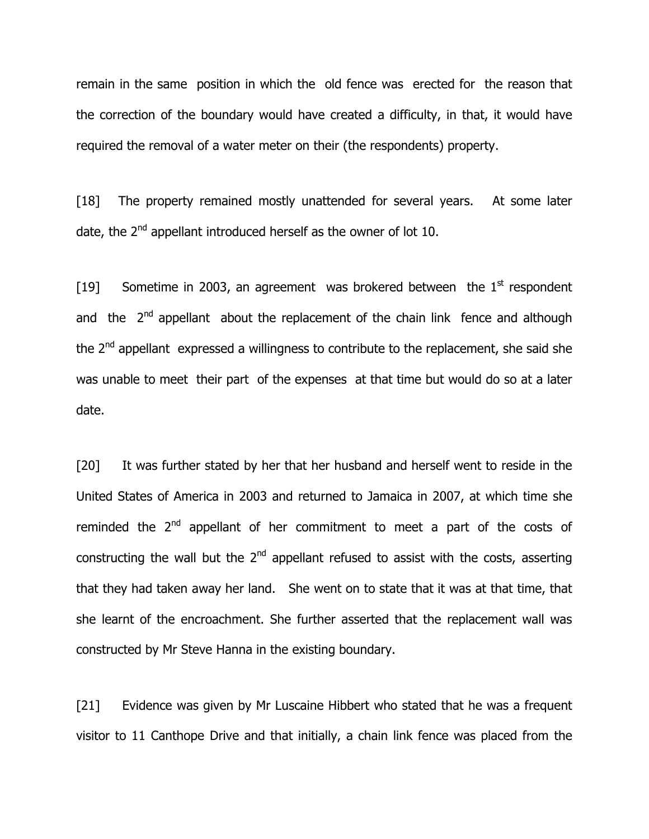remain in the same position in which the old fence was erected for the reason that the correction of the boundary would have created a difficulty, in that, it would have required the removal of a water meter on their (the respondents) property.

[18] The property remained mostly unattended for several years. At some later date, the  $2<sup>nd</sup>$  appellant introduced herself as the owner of lot 10.

[19] Sometime in 2003, an agreement was brokered between the  $1<sup>st</sup>$  respondent and the  $2^{nd}$  appellant about the replacement of the chain link fence and although the 2<sup>nd</sup> appellant expressed a willingness to contribute to the replacement, she said she was unable to meet their part of the expenses at that time but would do so at a later date.

[20] It was further stated by her that her husband and herself went to reside in the United States of America in 2003 and returned to Jamaica in 2007, at which time she reminded the  $2<sup>nd</sup>$  appellant of her commitment to meet a part of the costs of constructing the wall but the  $2<sup>nd</sup>$  appellant refused to assist with the costs, asserting that they had taken away her land. She went on to state that it was at that time, that she learnt of the encroachment. She further asserted that the replacement wall was constructed by Mr Steve Hanna in the existing boundary.

[21] Evidence was given by Mr Luscaine Hibbert who stated that he was a frequent visitor to 11 Canthope Drive and that initially, a chain link fence was placed from the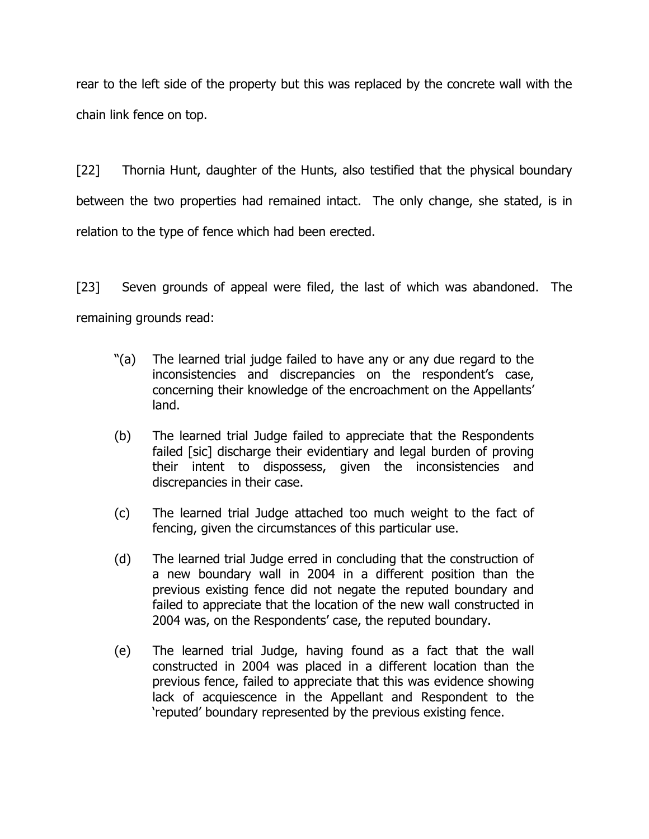rear to the left side of the property but this was replaced by the concrete wall with the chain link fence on top.

[22] Thornia Hunt, daughter of the Hunts, also testified that the physical boundary between the two properties had remained intact. The only change, she stated, is in relation to the type of fence which had been erected.

[23] Seven grounds of appeal were filed, the last of which was abandoned. The remaining grounds read:

- "(a) The learned trial judge failed to have any or any due regard to the inconsistencies and discrepancies on the respondent's case, concerning their knowledge of the encroachment on the Appellants' land.
- (b) The learned trial Judge failed to appreciate that the Respondents failed [sic] discharge their evidentiary and legal burden of proving their intent to dispossess, given the inconsistencies and discrepancies in their case.
- (c) The learned trial Judge attached too much weight to the fact of fencing, given the circumstances of this particular use.
- (d) The learned trial Judge erred in concluding that the construction of a new boundary wall in 2004 in a different position than the previous existing fence did not negate the reputed boundary and failed to appreciate that the location of the new wall constructed in 2004 was, on the Respondents' case, the reputed boundary.
- (e) The learned trial Judge, having found as a fact that the wall constructed in 2004 was placed in a different location than the previous fence, failed to appreciate that this was evidence showing lack of acquiescence in the Appellant and Respondent to the 'reputed' boundary represented by the previous existing fence.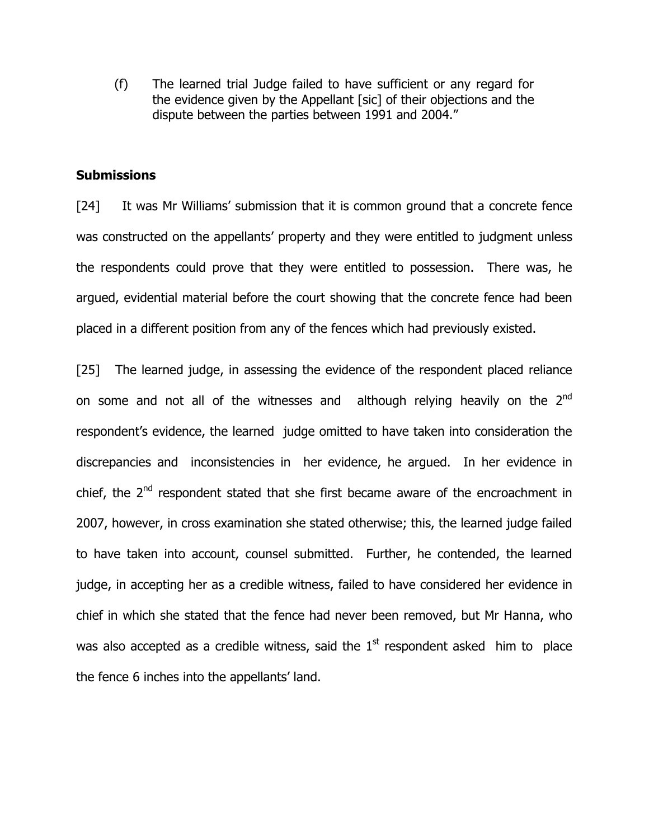(f) The learned trial Judge failed to have sufficient or any regard for the evidence given by the Appellant [sic] of their objections and the dispute between the parties between 1991 and 2004."

## **Submissions**

[24] It was Mr Williams' submission that it is common ground that a concrete fence was constructed on the appellants' property and they were entitled to judgment unless the respondents could prove that they were entitled to possession. There was, he argued, evidential material before the court showing that the concrete fence had been placed in a different position from any of the fences which had previously existed.

[25] The learned judge, in assessing the evidence of the respondent placed reliance on some and not all of the witnesses and although relying heavily on the  $2^{nd}$ respondent's evidence, the learned judge omitted to have taken into consideration the discrepancies and inconsistencies in her evidence, he argued. In her evidence in chief, the  $2^{nd}$  respondent stated that she first became aware of the encroachment in 2007, however, in cross examination she stated otherwise; this, the learned judge failed to have taken into account, counsel submitted. Further, he contended, the learned judge, in accepting her as a credible witness, failed to have considered her evidence in chief in which she stated that the fence had never been removed, but Mr Hanna, who was also accepted as a credible witness, said the  $1<sup>st</sup>$  respondent asked him to place the fence 6 inches into the appellants' land.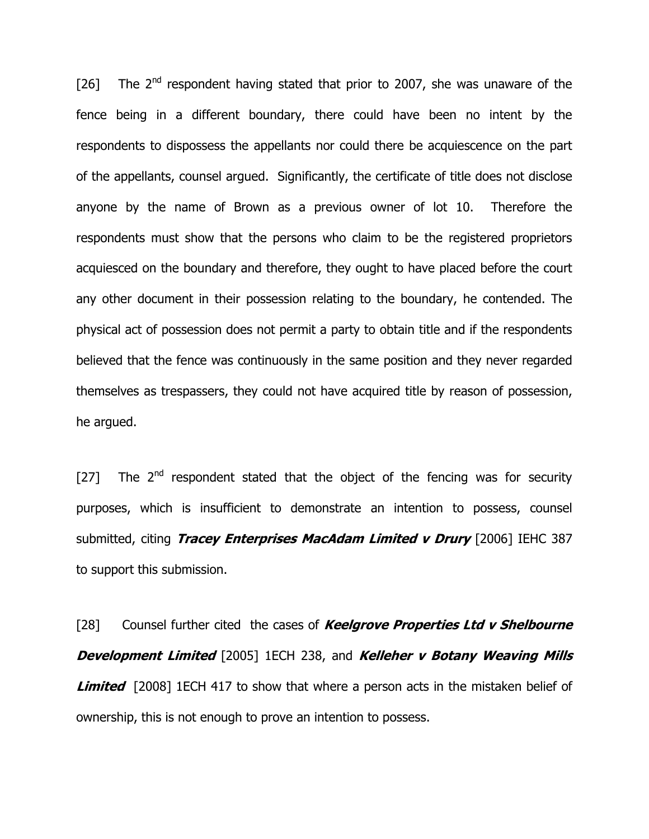[26] The  $2<sup>nd</sup>$  respondent having stated that prior to 2007, she was unaware of the fence being in a different boundary, there could have been no intent by the respondents to dispossess the appellants nor could there be acquiescence on the part of the appellants, counsel argued. Significantly, the certificate of title does not disclose anyone by the name of Brown as a previous owner of lot 10. Therefore the respondents must show that the persons who claim to be the registered proprietors acquiesced on the boundary and therefore, they ought to have placed before the court any other document in their possession relating to the boundary, he contended. The physical act of possession does not permit a party to obtain title and if the respondents believed that the fence was continuously in the same position and they never regarded themselves as trespassers, they could not have acquired title by reason of possession, he argued.

[27] The  $2<sup>nd</sup>$  respondent stated that the object of the fencing was for security purposes, which is insufficient to demonstrate an intention to possess, counsel submitted, citing *Tracey Enterprises MacAdam Limited v Drury* [2006] IEHC 387 to support this submission.

[28] Counsel further cited the cases of **Keelgrove Properties Ltd v Shelbourne Development Limited** [2005] 1ECH 238, and Kelleher v Botany Weaving Mills **Limited** [2008] 1ECH 417 to show that where a person acts in the mistaken belief of ownership, this is not enough to prove an intention to possess.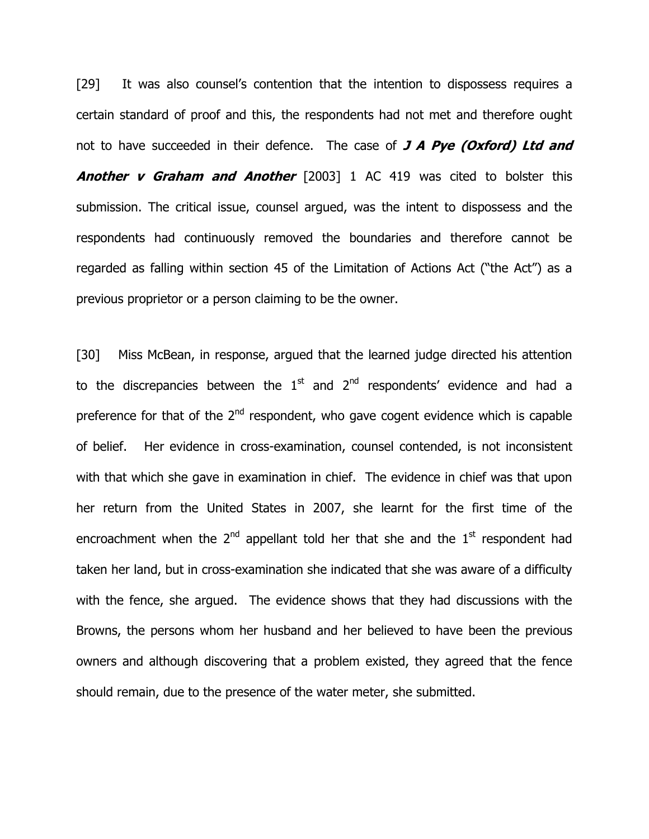[29] It was also counsel's contention that the intention to dispossess requires a certain standard of proof and this, the respondents had not met and therefore ought not to have succeeded in their defence. The case of  $J$  A Pye (Oxford) Ltd and **Another v Graham and Another** [2003] 1 AC 419 was cited to bolster this submission. The critical issue, counsel argued, was the intent to dispossess and the respondents had continuously removed the boundaries and therefore cannot be regarded as falling within section 45 of the Limitation of Actions Act ("the Act") as a previous proprietor or a person claiming to be the owner.

[30] Miss McBean, in response, argued that the learned judge directed his attention to the discrepancies between the  $1<sup>st</sup>$  and  $2<sup>nd</sup>$  respondents' evidence and had a preference for that of the  $2<sup>nd</sup>$  respondent, who gave cogent evidence which is capable of belief. Her evidence in cross-examination, counsel contended, is not inconsistent with that which she gave in examination in chief. The evidence in chief was that upon her return from the United States in 2007, she learnt for the first time of the encroachment when the  $2^{nd}$  appellant told her that she and the  $1^{st}$  respondent had taken her land, but in cross-examination she indicated that she was aware of a difficulty with the fence, she argued. The evidence shows that they had discussions with the Browns, the persons whom her husband and her believed to have been the previous owners and although discovering that a problem existed, they agreed that the fence should remain, due to the presence of the water meter, she submitted.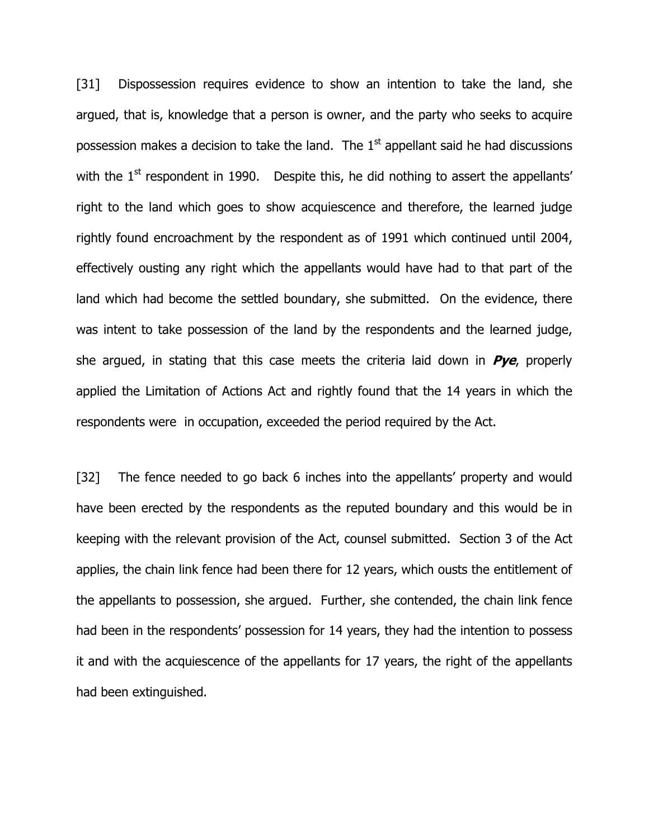[31] Dispossession requires evidence to show an intention to take the land, she argued, that is, knowledge that a person is owner, and the party who seeks to acquire possession makes a decision to take the land. The  $1<sup>st</sup>$  appellant said he had discussions with the  $1<sup>st</sup>$  respondent in 1990. Despite this, he did nothing to assert the appellants' right to the land which goes to show acquiescence and therefore, the learned judge rightly found encroachment by the respondent as of 1991 which continued until 2004, effectively ousting any right which the appellants would have had to that part of the land which had become the settled boundary, she submitted. On the evidence, there was intent to take possession of the land by the respondents and the learned judge, she argued, in stating that this case meets the criteria laid down in  $Pye$ , properly applied the Limitation of Actions Act and rightly found that the 14 years in which the respondents were in occupation, exceeded the period required by the Act.

[32] The fence needed to go back 6 inches into the appellants' property and would have been erected by the respondents as the reputed boundary and this would be in keeping with the relevant provision of the Act, counsel submitted. Section 3 of the Act applies, the chain link fence had been there for 12 years, which ousts the entitlement of the appellants to possession, she argued. Further, she contended, the chain link fence had been in the respondents' possession for 14 years, they had the intention to possess it and with the acquiescence of the appellants for 17 years, the right of the appellants had been extinguished.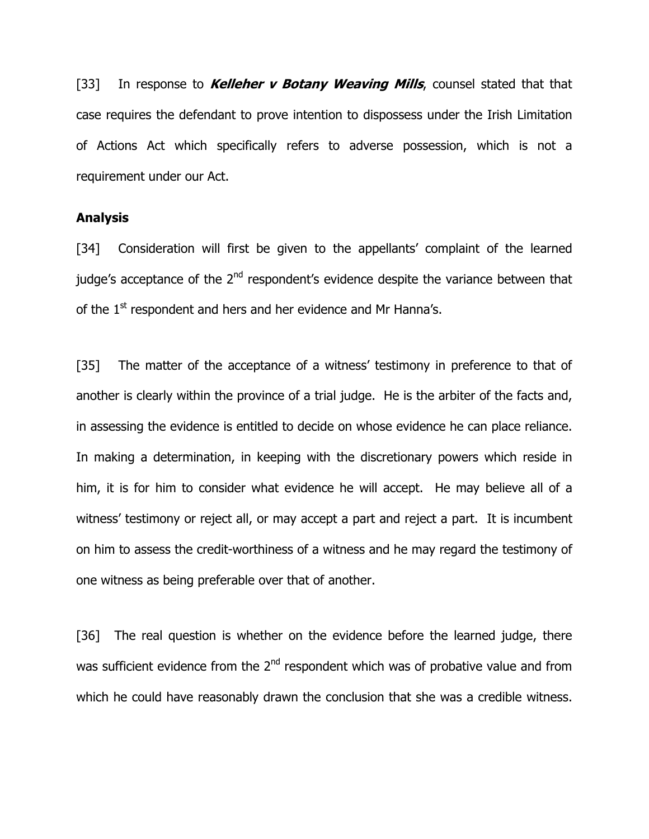[33] In response to *Kelleher v Botany Weaving Mills*, counsel stated that that case requires the defendant to prove intention to dispossess under the Irish Limitation of Actions Act which specifically refers to adverse possession, which is not a requirement under our Act.

### Analysis

[34] Consideration will first be given to the appellants' complaint of the learned judge's acceptance of the  $2<sup>nd</sup>$  respondent's evidence despite the variance between that of the  $1<sup>st</sup>$  respondent and hers and her evidence and Mr Hanna's.

[35] The matter of the acceptance of a witness' testimony in preference to that of another is clearly within the province of a trial judge. He is the arbiter of the facts and, in assessing the evidence is entitled to decide on whose evidence he can place reliance. In making a determination, in keeping with the discretionary powers which reside in him, it is for him to consider what evidence he will accept. He may believe all of a witness' testimony or reject all, or may accept a part and reject a part. It is incumbent on him to assess the credit-worthiness of a witness and he may regard the testimony of one witness as being preferable over that of another.

[36] The real question is whether on the evidence before the learned judge, there was sufficient evidence from the  $2<sup>nd</sup>$  respondent which was of probative value and from which he could have reasonably drawn the conclusion that she was a credible witness.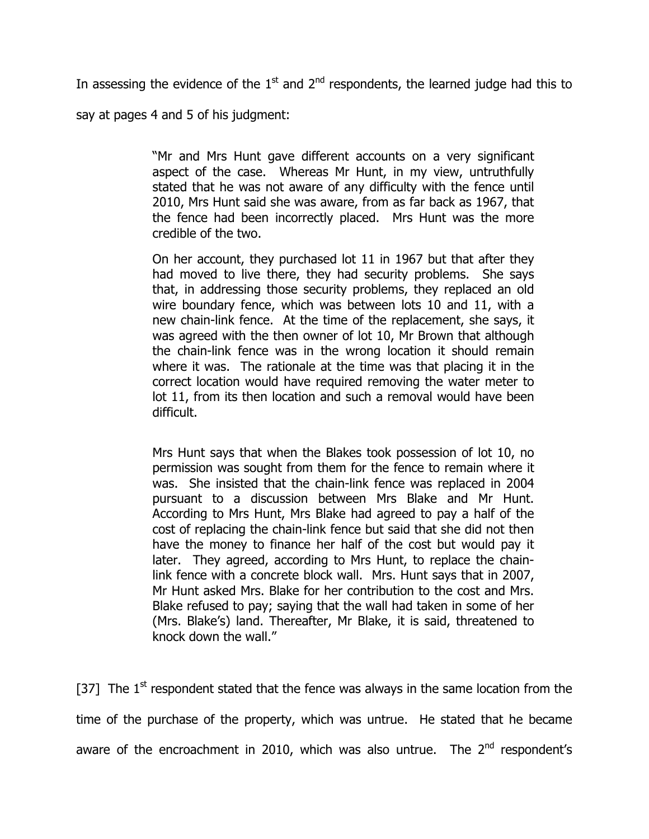In assessing the evidence of the  $1<sup>st</sup>$  and  $2<sup>nd</sup>$  respondents, the learned judge had this to

say at pages 4 and 5 of his judgment:

"Mr and Mrs Hunt gave different accounts on a very significant aspect of the case. Whereas Mr Hunt, in my view, untruthfully stated that he was not aware of any difficulty with the fence until 2010, Mrs Hunt said she was aware, from as far back as 1967, that the fence had been incorrectly placed. Mrs Hunt was the more credible of the two.

On her account, they purchased lot 11 in 1967 but that after they had moved to live there, they had security problems. She says that, in addressing those security problems, they replaced an old wire boundary fence, which was between lots 10 and 11, with a new chain-link fence. At the time of the replacement, she says, it was agreed with the then owner of lot 10, Mr Brown that although the chain-link fence was in the wrong location it should remain where it was. The rationale at the time was that placing it in the correct location would have required removing the water meter to lot 11, from its then location and such a removal would have been difficult.

Mrs Hunt says that when the Blakes took possession of lot 10, no permission was sought from them for the fence to remain where it was. She insisted that the chain-link fence was replaced in 2004 pursuant to a discussion between Mrs Blake and Mr Hunt. According to Mrs Hunt, Mrs Blake had agreed to pay a half of the cost of replacing the chain-link fence but said that she did not then have the money to finance her half of the cost but would pay it later. They agreed, according to Mrs Hunt, to replace the chainlink fence with a concrete block wall. Mrs. Hunt says that in 2007, Mr Hunt asked Mrs. Blake for her contribution to the cost and Mrs. Blake refused to pay; saying that the wall had taken in some of her (Mrs. Blake's) land. Thereafter, Mr Blake, it is said, threatened to knock down the wall."

[37] The  $1<sup>st</sup>$  respondent stated that the fence was always in the same location from the time of the purchase of the property, which was untrue. He stated that he became aware of the encroachment in 2010, which was also untrue. The  $2<sup>nd</sup>$  respondent's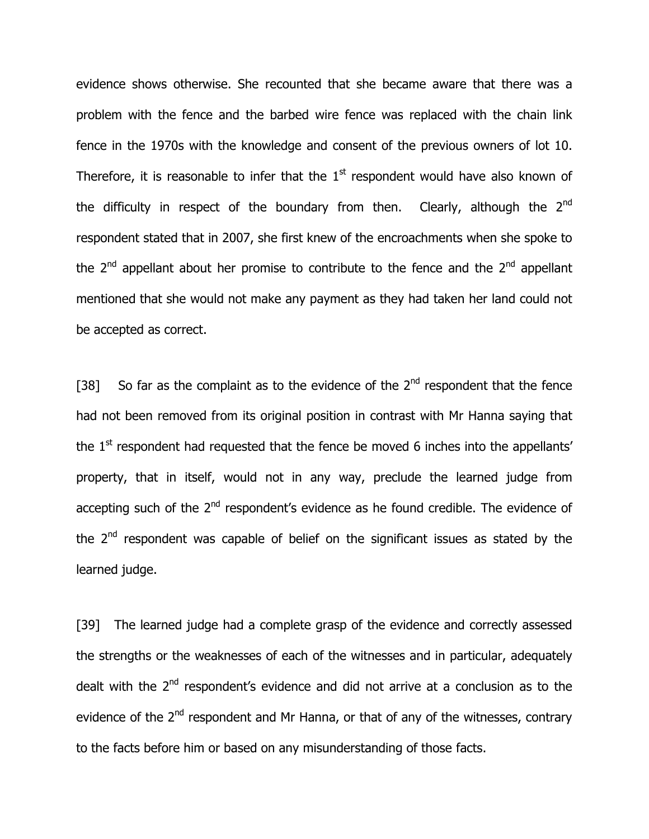evidence shows otherwise. She recounted that she became aware that there was a problem with the fence and the barbed wire fence was replaced with the chain link fence in the 1970s with the knowledge and consent of the previous owners of lot 10. Therefore, it is reasonable to infer that the  $1<sup>st</sup>$  respondent would have also known of the difficulty in respect of the boundary from then. Clearly, although the  $2<sup>nd</sup>$ respondent stated that in 2007, she first knew of the encroachments when she spoke to the  $2<sup>nd</sup>$  appellant about her promise to contribute to the fence and the  $2<sup>nd</sup>$  appellant mentioned that she would not make any payment as they had taken her land could not be accepted as correct.

[38] So far as the complaint as to the evidence of the  $2<sup>nd</sup>$  respondent that the fence had not been removed from its original position in contrast with Mr Hanna saying that the  $1<sup>st</sup>$  respondent had requested that the fence be moved 6 inches into the appellants' property, that in itself, would not in any way, preclude the learned judge from accepting such of the  $2<sup>nd</sup>$  respondent's evidence as he found credible. The evidence of the  $2<sup>nd</sup>$  respondent was capable of belief on the significant issues as stated by the learned judge.

[39] The learned judge had a complete grasp of the evidence and correctly assessed the strengths or the weaknesses of each of the witnesses and in particular, adequately dealt with the  $2<sup>nd</sup>$  respondent's evidence and did not arrive at a conclusion as to the evidence of the  $2^{nd}$  respondent and Mr Hanna, or that of any of the witnesses, contrary to the facts before him or based on any misunderstanding of those facts.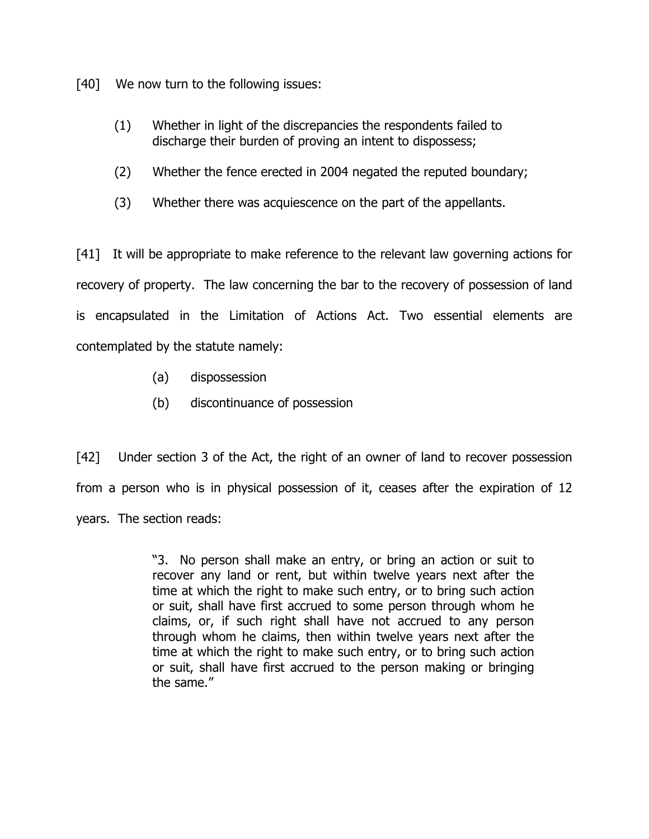[40] We now turn to the following issues:

- (1) Whether in light of the discrepancies the respondents failed to discharge their burden of proving an intent to dispossess;
- (2) Whether the fence erected in 2004 negated the reputed boundary;
- (3) Whether there was acquiescence on the part of the appellants.

[41] It will be appropriate to make reference to the relevant law governing actions for recovery of property. The law concerning the bar to the recovery of possession of land is encapsulated in the Limitation of Actions Act. Two essential elements are contemplated by the statute namely:

- (a) dispossession
- (b) discontinuance of possession

[42] Under section 3 of the Act, the right of an owner of land to recover possession from a person who is in physical possession of it, ceases after the expiration of 12 years. The section reads:

> "3. No person shall make an entry, or bring an action or suit to recover any land or rent, but within twelve years next after the time at which the right to make such entry, or to bring such action or suit, shall have first accrued to some person through whom he claims, or, if such right shall have not accrued to any person through whom he claims, then within twelve years next after the time at which the right to make such entry, or to bring such action or suit, shall have first accrued to the person making or bringing the same."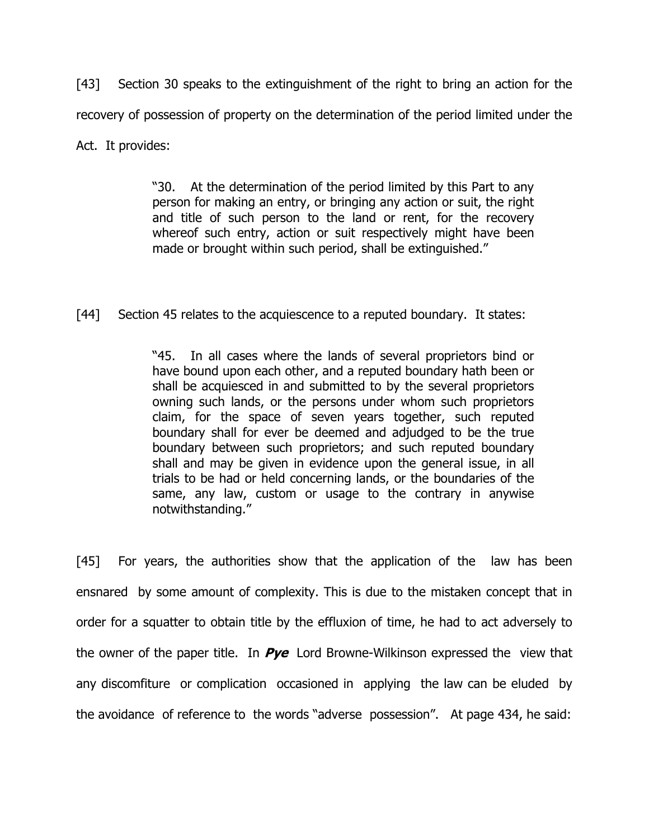[43] Section 30 speaks to the extinguishment of the right to bring an action for the recovery of possession of property on the determination of the period limited under the Act. It provides:

> "30. At the determination of the period limited by this Part to any person for making an entry, or bringing any action or suit, the right and title of such person to the land or rent, for the recovery whereof such entry, action or suit respectively might have been made or brought within such period, shall be extinguished."

[44] Section 45 relates to the acquiescence to a reputed boundary. It states:

"45. In all cases where the lands of several proprietors bind or have bound upon each other, and a reputed boundary hath been or shall be acquiesced in and submitted to by the several proprietors owning such lands, or the persons under whom such proprietors claim, for the space of seven years together, such reputed boundary shall for ever be deemed and adjudged to be the true boundary between such proprietors; and such reputed boundary shall and may be given in evidence upon the general issue, in all trials to be had or held concerning lands, or the boundaries of the same, any law, custom or usage to the contrary in anywise notwithstanding."

[45] For years, the authorities show that the application of the law has been ensnared by some amount of complexity. This is due to the mistaken concept that in order for a squatter to obtain title by the effluxion of time, he had to act adversely to the owner of the paper title. In  $Pye$  Lord Browne-Wilkinson expressed the view that any discomfiture or complication occasioned in applying the law can be eluded by the avoidance of reference to the words "adverse possession". At page 434, he said: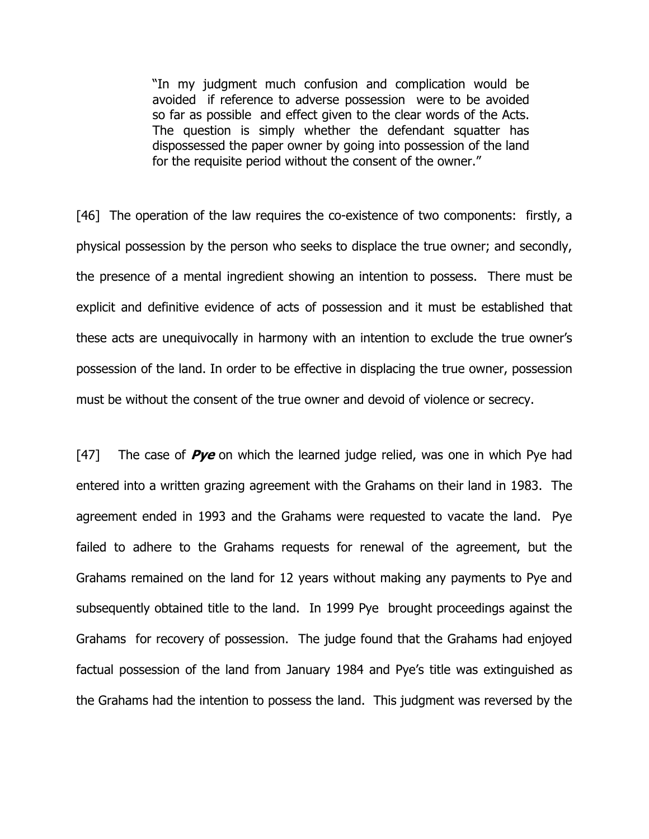"In my judgment much confusion and complication would be avoided if reference to adverse possession were to be avoided so far as possible and effect given to the clear words of the Acts. The question is simply whether the defendant squatter has dispossessed the paper owner by going into possession of the land for the requisite period without the consent of the owner."

[46] The operation of the law requires the co-existence of two components: firstly, a physical possession by the person who seeks to displace the true owner; and secondly, the presence of a mental ingredient showing an intention to possess. There must be explicit and definitive evidence of acts of possession and it must be established that these acts are unequivocally in harmony with an intention to exclude the true owner's possession of the land. In order to be effective in displacing the true owner, possession must be without the consent of the true owner and devoid of violence or secrecy.

[47] The case of  $Pve$  on which the learned judge relied, was one in which Pye had entered into a written grazing agreement with the Grahams on their land in 1983. The agreement ended in 1993 and the Grahams were requested to vacate the land. Pye failed to adhere to the Grahams requests for renewal of the agreement, but the Grahams remained on the land for 12 years without making any payments to Pye and subsequently obtained title to the land. In 1999 Pye brought proceedings against the Grahams for recovery of possession. The judge found that the Grahams had enjoyed factual possession of the land from January 1984 and Pye's title was extinguished as the Grahams had the intention to possess the land. This judgment was reversed by the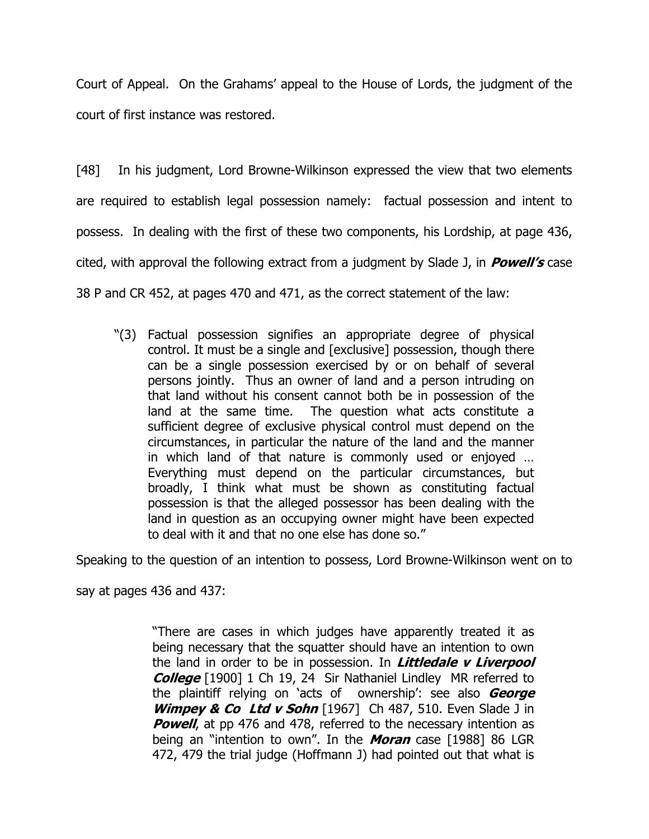Court of Appeal. On the Grahams' appeal to the House of Lords, the judgment of the court of first instance was restored.

[48] In his judgment, Lord Browne-Wilkinson expressed the view that two elements are required to establish legal possession namely: factual possession and intent to possess. In dealing with the first of these two components, his Lordship, at page 436, cited, with approval the following extract from a judgment by Slade J, in  $Powell's$  case 38 P and CR 452, at pages 470 and 471, as the correct statement of the law:

"(3) Factual possession signifies an appropriate degree of physical control. It must be a single and [exclusive] possession, though there can be a single possession exercised by or on behalf of several persons jointly. Thus an owner of land and a person intruding on that land without his consent cannot both be in possession of the land at the same time. The question what acts constitute a sufficient degree of exclusive physical control must depend on the circumstances, in particular the nature of the land and the manner in which land of that nature is commonly used or enjoyed … Everything must depend on the particular circumstances, but broadly, I think what must be shown as constituting factual possession is that the alleged possessor has been dealing with the land in question as an occupying owner might have been expected to deal with it and that no one else has done so."

Speaking to the question of an intention to possess, Lord Browne-Wilkinson went on to

say at pages 436 and 437:

"There are cases in which judges have apparently treated it as being necessary that the squatter should have an intention to own the land in order to be in possession. In *Littledale v Liverpool* College [1900] 1 Ch 19, 24 Sir Nathaniel Lindley MR referred to the plaintiff relying on 'acts of ownership': see also George Wimpey & Co Ltd v Sohn [1967] Ch 487, 510. Even Slade J in **Powell,** at pp 476 and 478, referred to the necessary intention as being an "intention to own". In the **Moran** case [1988] 86 LGR 472, 479 the trial judge (Hoffmann J) had pointed out that what is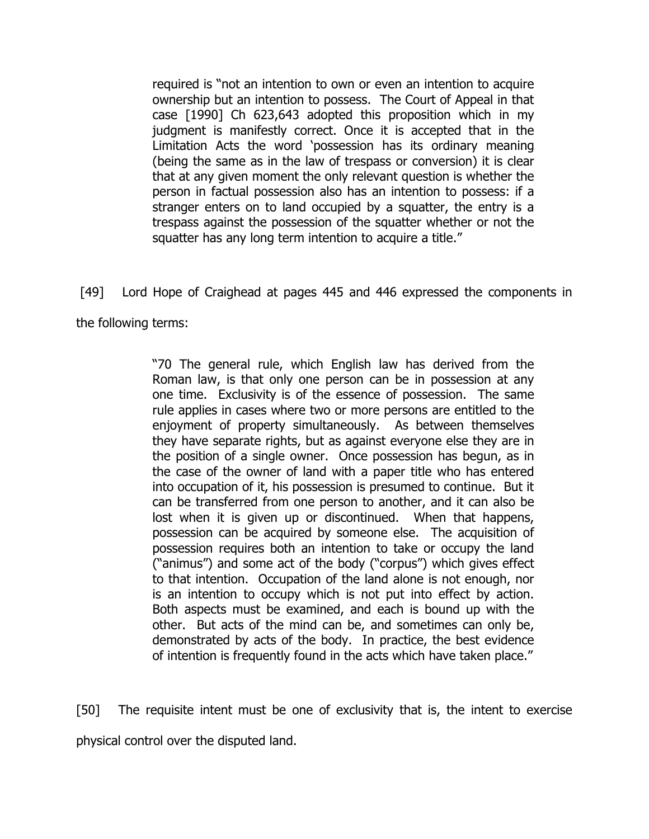required is "not an intention to own or even an intention to acquire ownership but an intention to possess. The Court of Appeal in that case [1990] Ch 623,643 adopted this proposition which in my judgment is manifestly correct. Once it is accepted that in the Limitation Acts the word 'possession has its ordinary meaning (being the same as in the law of trespass or conversion) it is clear that at any given moment the only relevant question is whether the person in factual possession also has an intention to possess: if a stranger enters on to land occupied by a squatter, the entry is a trespass against the possession of the squatter whether or not the squatter has any long term intention to acquire a title."

[49] Lord Hope of Craighead at pages 445 and 446 expressed the components in

the following terms:

"70 The general rule, which English law has derived from the Roman law, is that only one person can be in possession at any one time. Exclusivity is of the essence of possession. The same rule applies in cases where two or more persons are entitled to the enjoyment of property simultaneously. As between themselves they have separate rights, but as against everyone else they are in the position of a single owner. Once possession has begun, as in the case of the owner of land with a paper title who has entered into occupation of it, his possession is presumed to continue. But it can be transferred from one person to another, and it can also be lost when it is given up or discontinued. When that happens, possession can be acquired by someone else. The acquisition of possession requires both an intention to take or occupy the land ("animus") and some act of the body ("corpus") which gives effect to that intention. Occupation of the land alone is not enough, nor is an intention to occupy which is not put into effect by action. Both aspects must be examined, and each is bound up with the other. But acts of the mind can be, and sometimes can only be, demonstrated by acts of the body. In practice, the best evidence of intention is frequently found in the acts which have taken place."

[50] The requisite intent must be one of exclusivity that is, the intent to exercise physical control over the disputed land.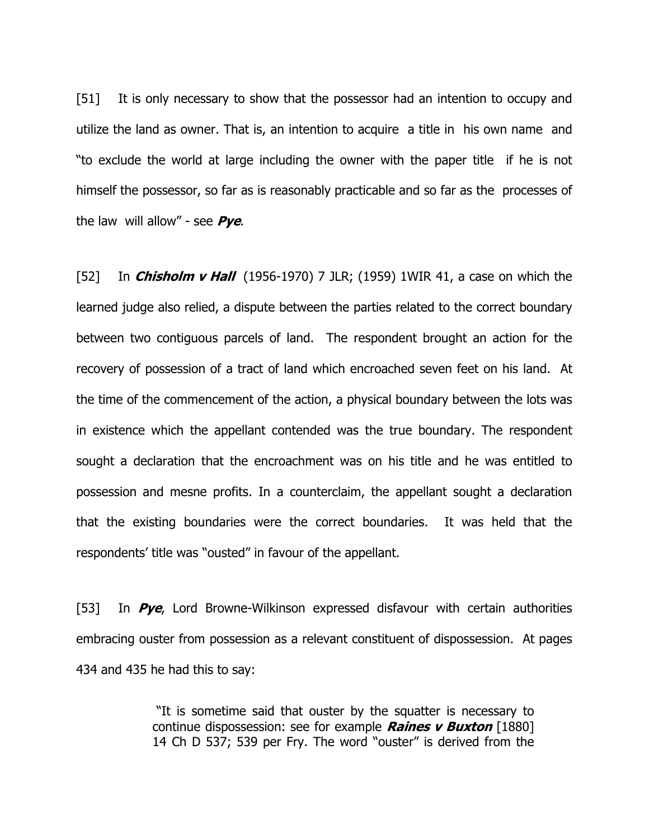[51] It is only necessary to show that the possessor had an intention to occupy and utilize the land as owner. That is, an intention to acquire a title in his own name and "to exclude the world at large including the owner with the paper title if he is not himself the possessor, so far as is reasonably practicable and so far as the processes of the law will allow" - see  $Pye$ .

[52] In *Chisholm v Hall* (1956-1970) 7 JLR; (1959) 1WIR 41, a case on which the learned judge also relied, a dispute between the parties related to the correct boundary between two contiguous parcels of land. The respondent brought an action for the recovery of possession of a tract of land which encroached seven feet on his land. At the time of the commencement of the action, a physical boundary between the lots was in existence which the appellant contended was the true boundary. The respondent sought a declaration that the encroachment was on his title and he was entitled to possession and mesne profits. In a counterclaim, the appellant sought a declaration that the existing boundaries were the correct boundaries. It was held that the respondents' title was "ousted" in favour of the appellant.

[53] In  $Pye$ , Lord Browne-Wilkinson expressed disfavour with certain authorities embracing ouster from possession as a relevant constituent of dispossession. At pages 434 and 435 he had this to say:

> "It is sometime said that ouster by the squatter is necessary to continue dispossession: see for example **Raines v Buxton** [1880] 14 Ch D 537; 539 per Fry. The word "ouster" is derived from the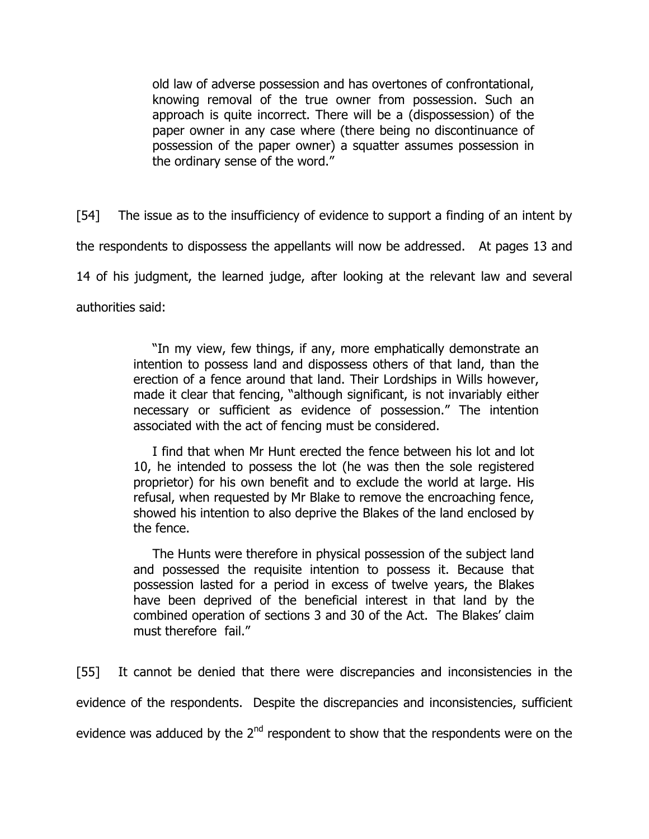old law of adverse possession and has overtones of confrontational, knowing removal of the true owner from possession. Such an approach is quite incorrect. There will be a (dispossession) of the paper owner in any case where (there being no discontinuance of possession of the paper owner) a squatter assumes possession in the ordinary sense of the word."

[54] The issue as to the insufficiency of evidence to support a finding of an intent by the respondents to dispossess the appellants will now be addressed. At pages 13 and 14 of his judgment, the learned judge, after looking at the relevant law and several authorities said:

> "In my view, few things, if any, more emphatically demonstrate an intention to possess land and dispossess others of that land, than the erection of a fence around that land. Their Lordships in Wills however, made it clear that fencing, "although significant, is not invariably either necessary or sufficient as evidence of possession." The intention associated with the act of fencing must be considered.

I find that when Mr Hunt erected the fence between his lot and lot 10, he intended to possess the lot (he was then the sole registered proprietor) for his own benefit and to exclude the world at large. His refusal, when requested by Mr Blake to remove the encroaching fence, showed his intention to also deprive the Blakes of the land enclosed by the fence.

The Hunts were therefore in physical possession of the subject land and possessed the requisite intention to possess it. Because that possession lasted for a period in excess of twelve years, the Blakes have been deprived of the beneficial interest in that land by the combined operation of sections 3 and 30 of the Act. The Blakes' claim must therefore fail."

[55] It cannot be denied that there were discrepancies and inconsistencies in the evidence of the respondents. Despite the discrepancies and inconsistencies, sufficient evidence was adduced by the  $2<sup>nd</sup>$  respondent to show that the respondents were on the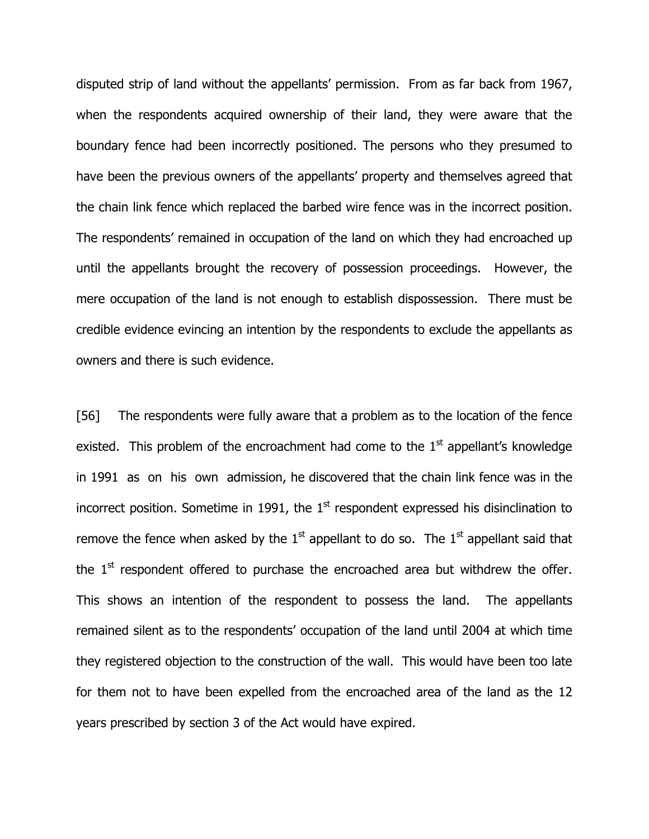disputed strip of land without the appellants' permission. From as far back from 1967, when the respondents acquired ownership of their land, they were aware that the boundary fence had been incorrectly positioned. The persons who they presumed to have been the previous owners of the appellants' property and themselves agreed that the chain link fence which replaced the barbed wire fence was in the incorrect position. The respondents' remained in occupation of the land on which they had encroached up until the appellants brought the recovery of possession proceedings. However, the mere occupation of the land is not enough to establish dispossession. There must be credible evidence evincing an intention by the respondents to exclude the appellants as owners and there is such evidence.

[56] The respondents were fully aware that a problem as to the location of the fence existed. This problem of the encroachment had come to the  $1<sup>st</sup>$  appellant's knowledge in 1991 as on his own admission, he discovered that the chain link fence was in the incorrect position. Sometime in 1991, the  $1<sup>st</sup>$  respondent expressed his disinclination to remove the fence when asked by the  $1<sup>st</sup>$  appellant to do so. The  $1<sup>st</sup>$  appellant said that the  $1<sup>st</sup>$  respondent offered to purchase the encroached area but withdrew the offer. This shows an intention of the respondent to possess the land. The appellants remained silent as to the respondents' occupation of the land until 2004 at which time they registered objection to the construction of the wall. This would have been too late for them not to have been expelled from the encroached area of the land as the 12 years prescribed by section 3 of the Act would have expired.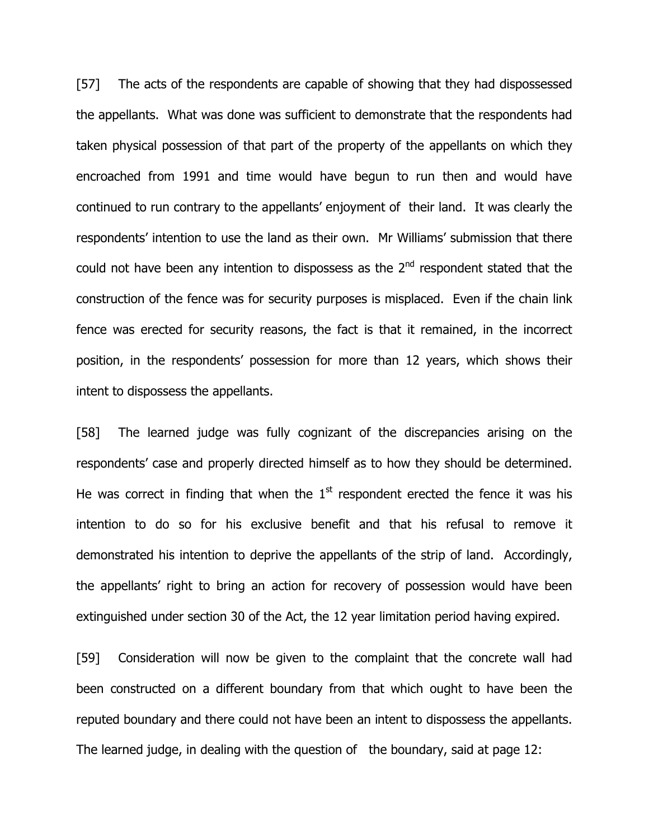[57] The acts of the respondents are capable of showing that they had dispossessed the appellants. What was done was sufficient to demonstrate that the respondents had taken physical possession of that part of the property of the appellants on which they encroached from 1991 and time would have begun to run then and would have continued to run contrary to the appellants' enjoyment of their land. It was clearly the respondents' intention to use the land as their own. Mr Williams' submission that there could not have been any intention to dispossess as the  $2^{nd}$  respondent stated that the construction of the fence was for security purposes is misplaced. Even if the chain link fence was erected for security reasons, the fact is that it remained, in the incorrect position, in the respondents' possession for more than 12 years, which shows their intent to dispossess the appellants.

[58] The learned judge was fully cognizant of the discrepancies arising on the respondents' case and properly directed himself as to how they should be determined. He was correct in finding that when the  $1<sup>st</sup>$  respondent erected the fence it was his intention to do so for his exclusive benefit and that his refusal to remove it demonstrated his intention to deprive the appellants of the strip of land. Accordingly, the appellants' right to bring an action for recovery of possession would have been extinguished under section 30 of the Act, the 12 year limitation period having expired.

[59] Consideration will now be given to the complaint that the concrete wall had been constructed on a different boundary from that which ought to have been the reputed boundary and there could not have been an intent to dispossess the appellants. The learned judge, in dealing with the question of the boundary, said at page 12: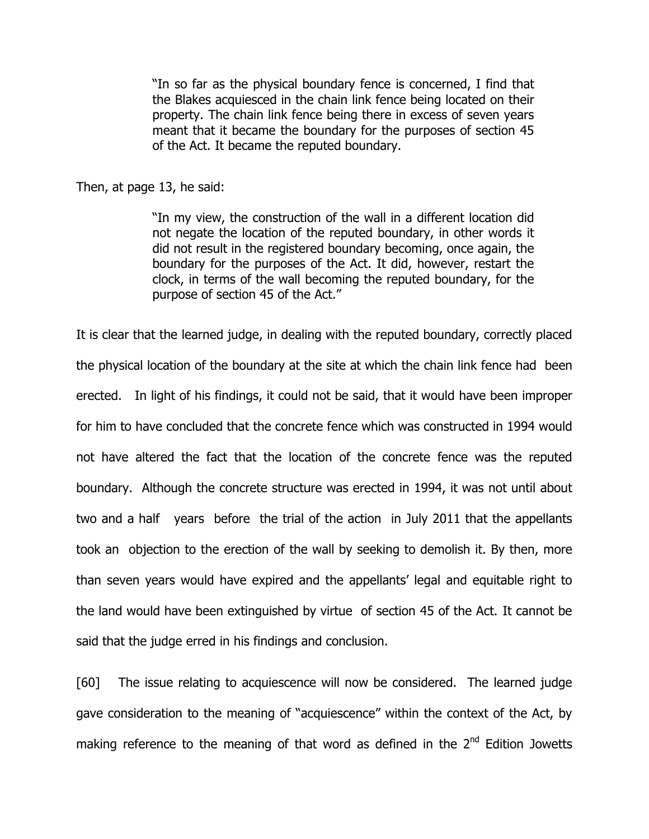"In so far as the physical boundary fence is concerned, I find that the Blakes acquiesced in the chain link fence being located on their property. The chain link fence being there in excess of seven years meant that it became the boundary for the purposes of section 45 of the Act. It became the reputed boundary.

Then, at page 13, he said:

"In my view, the construction of the wall in a different location did not negate the location of the reputed boundary, in other words it did not result in the registered boundary becoming, once again, the boundary for the purposes of the Act. It did, however, restart the clock, in terms of the wall becoming the reputed boundary, for the purpose of section 45 of the Act."

It is clear that the learned judge, in dealing with the reputed boundary, correctly placed the physical location of the boundary at the site at which the chain link fence had been erected. In light of his findings, it could not be said, that it would have been improper for him to have concluded that the concrete fence which was constructed in 1994 would not have altered the fact that the location of the concrete fence was the reputed boundary. Although the concrete structure was erected in 1994, it was not until about two and a half years before the trial of the action in July 2011 that the appellants took an objection to the erection of the wall by seeking to demolish it. By then, more than seven years would have expired and the appellants' legal and equitable right to the land would have been extinguished by virtue of section 45 of the Act. It cannot be said that the judge erred in his findings and conclusion.

[60] The issue relating to acquiescence will now be considered. The learned judge gave consideration to the meaning of "acquiescence" within the context of the Act, by making reference to the meaning of that word as defined in the  $2<sup>nd</sup>$  Edition Jowetts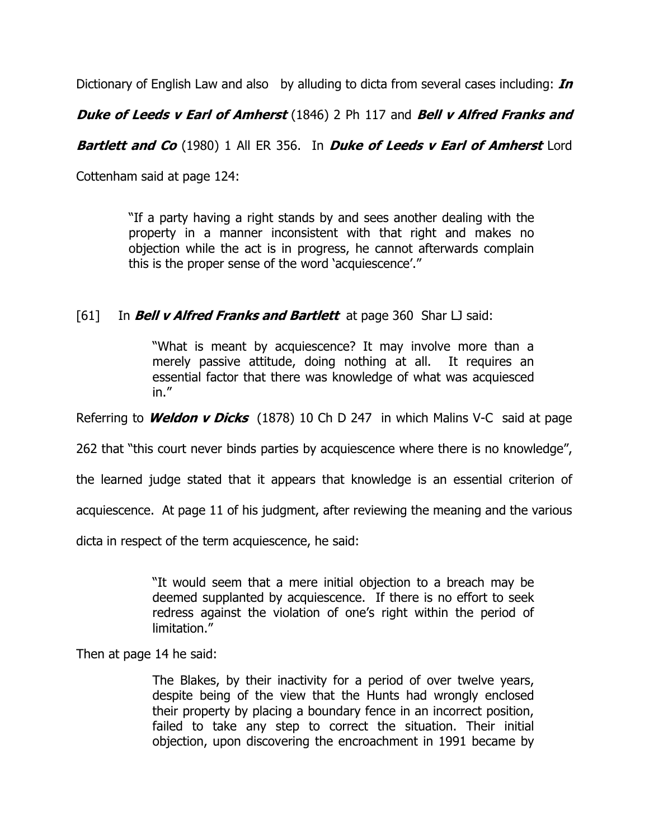Dictionary of English Law and also by alluding to dicta from several cases including:  $\textit{In}$ 

**Duke of Leeds v Earl of Amherst** (1846) 2 Ph 117 and Bell v Alfred Franks and

**Bartlett and Co** (1980) 1 All ER 356. In **Duke of Leeds v Earl of Amherst** Lord

Cottenham said at page 124:

"If a party having a right stands by and sees another dealing with the property in a manner inconsistent with that right and makes no objection while the act is in progress, he cannot afterwards complain this is the proper sense of the word 'acquiescence'."

## [61] In **Bell v Alfred Franks and Bartlett** at page 360 Shar LJ said:

"What is meant by acquiescence? It may involve more than a merely passive attitude, doing nothing at all. It requires an essential factor that there was knowledge of what was acquiesced in."

Referring to **Weldon v Dicks** (1878) 10 Ch D 247 in which Malins V-C said at page

262 that "this court never binds parties by acquiescence where there is no knowledge",

the learned judge stated that it appears that knowledge is an essential criterion of

acquiescence. At page 11 of his judgment, after reviewing the meaning and the various

dicta in respect of the term acquiescence, he said:

"It would seem that a mere initial objection to a breach may be deemed supplanted by acquiescence. If there is no effort to seek redress against the violation of one's right within the period of limitation."

Then at page 14 he said:

The Blakes, by their inactivity for a period of over twelve years, despite being of the view that the Hunts had wrongly enclosed their property by placing a boundary fence in an incorrect position, failed to take any step to correct the situation. Their initial objection, upon discovering the encroachment in 1991 became by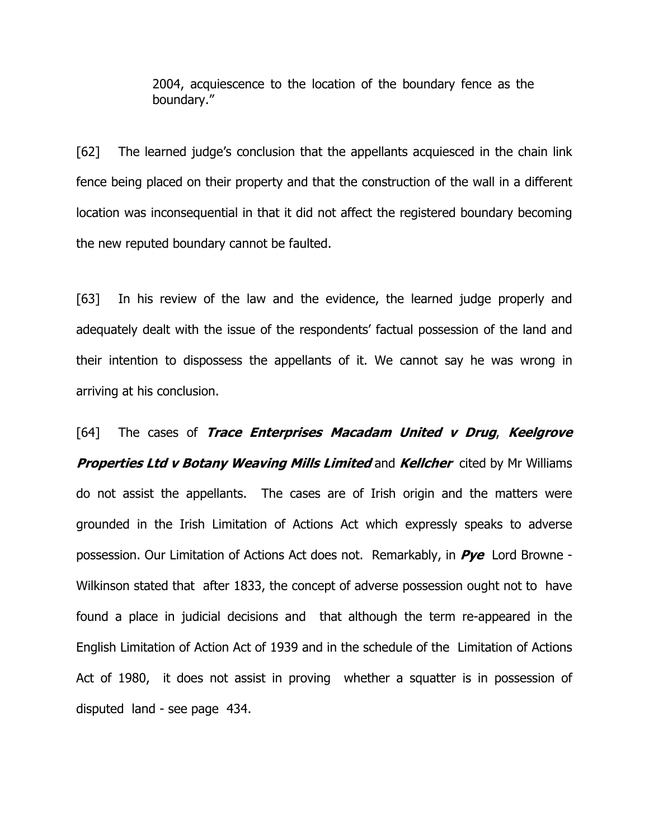2004, acquiescence to the location of the boundary fence as the boundary."

[62] The learned judge's conclusion that the appellants acquiesced in the chain link fence being placed on their property and that the construction of the wall in a different location was inconsequential in that it did not affect the registered boundary becoming the new reputed boundary cannot be faulted.

[63] In his review of the law and the evidence, the learned judge properly and adequately dealt with the issue of the respondents' factual possession of the land and their intention to dispossess the appellants of it. We cannot say he was wrong in arriving at his conclusion.

[64] The cases of Trace Enterprises Macadam United v Drug, Keelgrove **Properties Ltd v Botany Weaving Mills Limited and Kellcher** cited by Mr Williams do not assist the appellants. The cases are of Irish origin and the matters were grounded in the Irish Limitation of Actions Act which expressly speaks to adverse possession. Our Limitation of Actions Act does not. Remarkably, in  $Pye$  Lord Browne -Wilkinson stated that after 1833, the concept of adverse possession ought not to have found a place in judicial decisions and that although the term re-appeared in the English Limitation of Action Act of 1939 and in the schedule of the Limitation of Actions Act of 1980, it does not assist in proving whether a squatter is in possession of disputed land - see page 434.